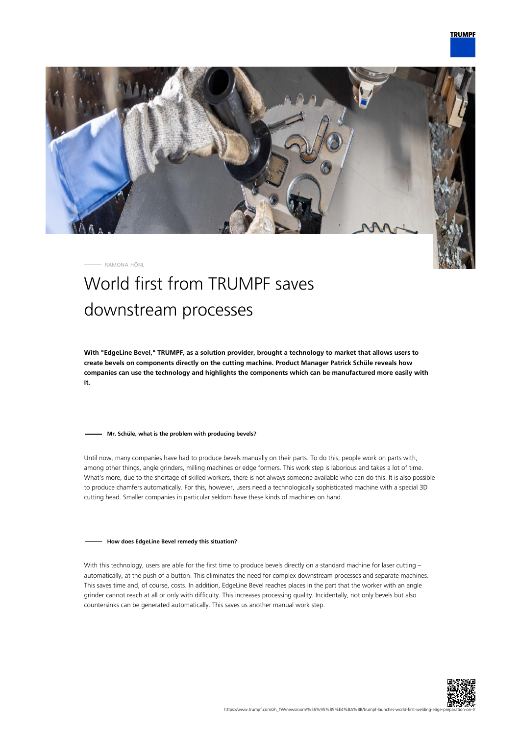

RAMONA HÖNL

# World first from TRUMPF saves downstream processes

**With "EdgeLine Bevel," TRUMPF, as a solution provider, brought a technology to market that allows users to create bevels on components directly on the cutting machine. Product Manager Patrick Schüle reveals how companies can use the technology and highlights the components which can be manufactured more easily with it.**

### **Mr. Schüle, what is the problem with producing bevels?**

Until now, many companies have had to produce bevels manually on their parts. To do this, people work on parts with, among other things, angle grinders, milling machines or edge formers. This work step is laborious and takes a lot of time. What's more, due to the shortage of skilled workers, there is not always someone available who can do this. It is also possible to produce chamfers automatically. For this, however, users need a technologically sophisticated machine with a special 3D cutting head. Smaller companies in particular seldom have these kinds of machines on hand.

#### **How does EdgeLine Bevel remedy this situation?**

With this technology, users are able for the first time to produce bevels directly on a standard machine for laser cutting automatically, at the push of a button. This eliminates the need for complex downstream processes and separate machines. This saves time and, of course, costs. In addition, EdgeLine Bevel reaches places in the part that the worker with an angle grinder cannot reach at all or only with difficulty. This increases processing quality. Incidentally, not only bevels but also countersinks can be generated automatically. This saves us another manual work step.

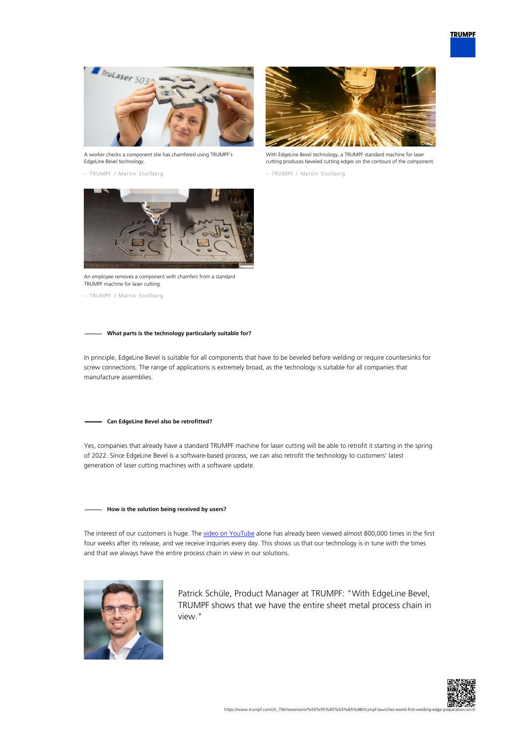

A worker checks a component she has chamfered using TRUMPF's EdgeLine Bevel technology.

– TRUMPF / Martin Stollberg



With EdgeLine Bevel technology, a TRUMPF standard machine for laser cutting produces beveled cutting edges on the contours of the component.

– TRUMPF / Martin Stollberg



An employee removes a component with chamfers from a standard TRUMPF machine for laser cutting.

– TRUMPF / Martin Stollberg

## **What parts is the technology particularly suitable for?**

In principle, EdgeLine Bevel is suitable for all components that have to be beveled before welding or require countersinks for screw connections. The range of applications is extremely broad, as the technology is suitable for all companies that manufacture assemblies.

#### **Can EdgeLine Bevel also be retrofitted?**

Yes, companies that already have a standard TRUMPF machine for laser cutting will be able to retrofit it starting in the spring of 2022. Since EdgeLine Bevel is a software-based process, we can also retrofit the technology to customers' latest generation of laser cutting machines with a software update.

## **How is the solution being received by users?**

The interest of our customers is huge. The [video on YouTube](https://www.youtube.com/watch?v=wjYai1xAQek) alone has already been viewed almost 800,000 times in the first four weeks after its release, and we receive inquiries every day. This shows us that our technology is in tune with the times and that we always have the entire process chain in view in our solutions.



Patrick Schüle, Product Manager at TRUMPF: "With EdgeLine Bevel, TRUMPF shows that we have the entire sheet metal process chain in view."